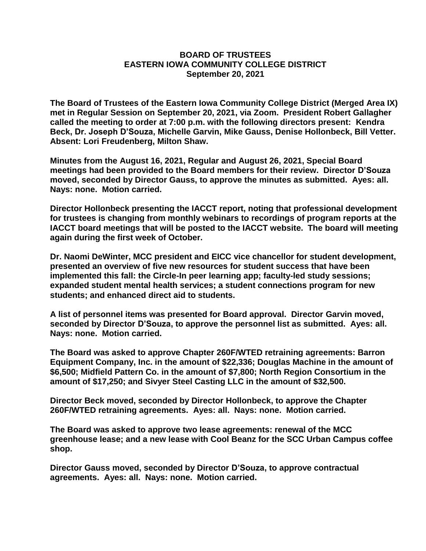## **BOARD OF TRUSTEES EASTERN IOWA COMMUNITY COLLEGE DISTRICT September 20, 2021**

**The Board of Trustees of the Eastern Iowa Community College District (Merged Area IX) met in Regular Session on September 20, 2021, via Zoom. President Robert Gallagher called the meeting to order at 7:00 p.m. with the following directors present: Kendra Beck, Dr. Joseph D'Souza, Michelle Garvin, Mike Gauss, Denise Hollonbeck, Bill Vetter. Absent: Lori Freudenberg, Milton Shaw.**

**Minutes from the August 16, 2021, Regular and August 26, 2021, Special Board meetings had been provided to the Board members for their review. Director D'Souza moved, seconded by Director Gauss, to approve the minutes as submitted. Ayes: all. Nays: none. Motion carried.**

**Director Hollonbeck presenting the IACCT report, noting that professional development for trustees is changing from monthly webinars to recordings of program reports at the IACCT board meetings that will be posted to the IACCT website. The board will meeting again during the first week of October.**

**Dr. Naomi DeWinter, MCC president and EICC vice chancellor for student development, presented an overview of five new resources for student success that have been implemented this fall: the Circle-In peer learning app; faculty-led study sessions; expanded student mental health services; a student connections program for new students; and enhanced direct aid to students.**

**A list of personnel items was presented for Board approval. Director Garvin moved, seconded by Director D'Souza, to approve the personnel list as submitted. Ayes: all. Nays: none. Motion carried.**

**The Board was asked to approve Chapter 260F/WTED retraining agreements: Barron Equipment Company, Inc. in the amount of \$22,336; Douglas Machine in the amount of \$6,500; Midfield Pattern Co. in the amount of \$7,800; North Region Consortium in the amount of \$17,250; and Sivyer Steel Casting LLC in the amount of \$32,500.**

**Director Beck moved, seconded by Director Hollonbeck, to approve the Chapter 260F/WTED retraining agreements. Ayes: all. Nays: none. Motion carried.**

**The Board was asked to approve two lease agreements: renewal of the MCC greenhouse lease; and a new lease with Cool Beanz for the SCC Urban Campus coffee shop.**

**Director Gauss moved, seconded by Director D'Souza, to approve contractual agreements. Ayes: all. Nays: none. Motion carried.**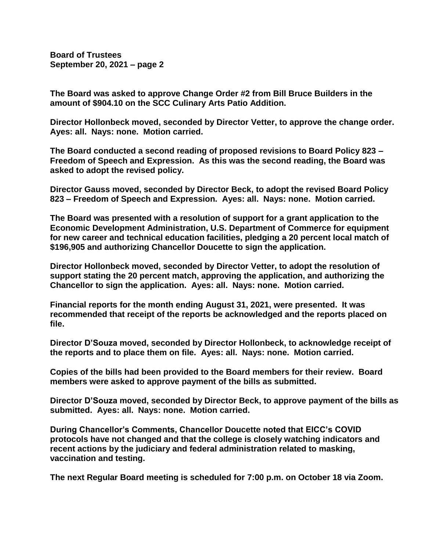**Board of Trustees September 20, 2021 – page 2**

**The Board was asked to approve Change Order #2 from Bill Bruce Builders in the amount of \$904.10 on the SCC Culinary Arts Patio Addition.**

**Director Hollonbeck moved, seconded by Director Vetter, to approve the change order. Ayes: all. Nays: none. Motion carried.**

**The Board conducted a second reading of proposed revisions to Board Policy 823 – Freedom of Speech and Expression. As this was the second reading, the Board was asked to adopt the revised policy.**

**Director Gauss moved, seconded by Director Beck, to adopt the revised Board Policy 823 – Freedom of Speech and Expression. Ayes: all. Nays: none. Motion carried.**

**The Board was presented with a resolution of support for a grant application to the Economic Development Administration, U.S. Department of Commerce for equipment for new career and technical education facilities, pledging a 20 percent local match of \$196,905 and authorizing Chancellor Doucette to sign the application.**

**Director Hollonbeck moved, seconded by Director Vetter, to adopt the resolution of support stating the 20 percent match, approving the application, and authorizing the Chancellor to sign the application. Ayes: all. Nays: none. Motion carried.**

**Financial reports for the month ending August 31, 2021, were presented. It was recommended that receipt of the reports be acknowledged and the reports placed on file.**

**Director D'Souza moved, seconded by Director Hollonbeck, to acknowledge receipt of the reports and to place them on file. Ayes: all. Nays: none. Motion carried.**

**Copies of the bills had been provided to the Board members for their review. Board members were asked to approve payment of the bills as submitted.**

**Director D'Souza moved, seconded by Director Beck, to approve payment of the bills as submitted. Ayes: all. Nays: none. Motion carried.**

**During Chancellor's Comments, Chancellor Doucette noted that EICC's COVID protocols have not changed and that the college is closely watching indicators and recent actions by the judiciary and federal administration related to masking, vaccination and testing.**

**The next Regular Board meeting is scheduled for 7:00 p.m. on October 18 via Zoom.**